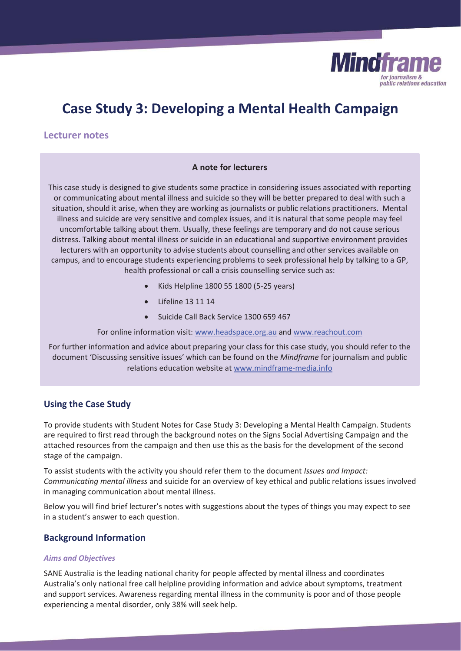

# **Case Study 3: Developing a Mental Health Campaign**

# **Lecturer notes**

# **A note for lecturers**

This case study is designed to give students some practice in considering issues associated with reporting or communicating about mental illness and suicide so they will be better prepared to deal with such a situation, should it arise, when they are working as journalists or public relations practitioners. Mental illness and suicide are very sensitive and complex issues, and it is natural that some people may feel uncomfortable talking about them. Usually, these feelings are temporary and do not cause serious distress. Talking about mental illness or suicide in an educational and supportive environment provides lecturers with an opportunity to advise students about counselling and other services available on campus, and to encourage students experiencing problems to seek professional help by talking to a GP, health professional or call a crisis counselling service such as:

- x Kids Helpline 1800 55 1800 (5-25 years)
- Lifeline 13 11 14
- Suicide Call Back Service 1300 659 467

For online information visit: www.headspace.org.au and www.reachout.com

For further information and advice about preparing your class for this case study, you should refer to the document 'Discussing sensitive issues' which can be found on the *Mindframe* for journalism and public relations education website at www.mindframe-media.info

# **Using the Case Study**

To provide students with Student Notes for Case Study 3: Developing a Mental Health Campaign. Students are required to first read through the background notes on the Signs Social Advertising Campaign and the attached resources from the campaign and then use this as the basis for the development of the second stage of the campaign.

To assist students with the activity you should refer them to the document *Issues and Impact: Communicating mental illness* and suicide for an overview of key ethical and public relations issues involved in managing communication about mental illness.

Below you will find brief lecturer's notes with suggestions about the types of things you may expect to see in a student's answer to each question.

# **Background Information**

## *Aims and Objectives*

SANE Australia is the leading national charity for people affected by mental illness and coordinates Australia's only national free call helpline providing information and advice about symptoms, treatment and support services. Awareness regarding mental illness in the community is poor and of those people experiencing a mental disorder, only 38% will seek help.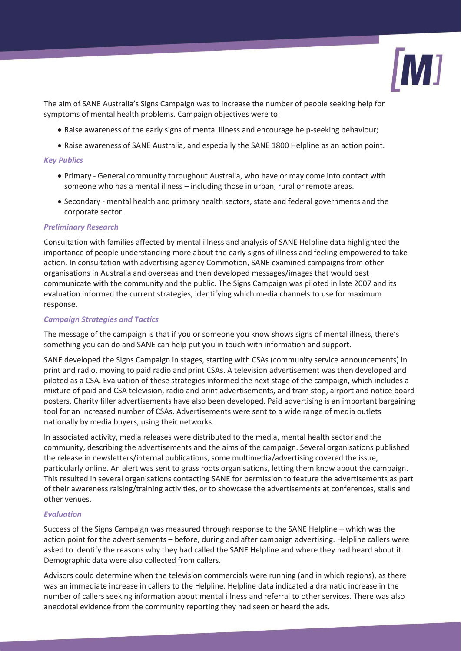

The aim of SANE Australia's Signs Campaign was to increase the number of people seeking help for symptoms of mental health problems. Campaign objectives were to:

- Raise awareness of the early signs of mental illness and encourage help-seeking behaviour;
- Raise awareness of SANE Australia, and especially the SANE 1800 Helpline as an action point.

# *Key Publics*

- Primary General community throughout Australia, who have or may come into contact with someone who has a mental illness – including those in urban, rural or remote areas.
- x Secondary mental health and primary health sectors, state and federal governments and the corporate sector.

# *Preliminary Research*

Consultation with families affected by mental illness and analysis of SANE Helpline data highlighted the importance of people understanding more about the early signs of illness and feeling empowered to take action. In consultation with advertising agency Commotion, SANE examined campaigns from other organisations in Australia and overseas and then developed messages/images that would best communicate with the community and the public. The Signs Campaign was piloted in late 2007 and its evaluation informed the current strategies, identifying which media channels to use for maximum response.

# *Campaign Strategies and Tactics*

The message of the campaign is that if you or someone you know shows signs of mental illness, there's something you can do and SANE can help put you in touch with information and support.

SANE developed the Signs Campaign in stages, starting with CSAs (community service announcements) in print and radio, moving to paid radio and print CSAs. A television advertisement was then developed and piloted as a CSA. Evaluation of these strategies informed the next stage of the campaign, which includes a mixture of paid and CSA television, radio and print advertisements, and tram stop, airport and notice board posters. Charity filler advertisements have also been developed. Paid advertising is an important bargaining tool for an increased number of CSAs. Advertisements were sent to a wide range of media outlets nationally by media buyers, using their networks.

In associated activity, media releases were distributed to the media, mental health sector and the community, describing the advertisements and the aims of the campaign. Several organisations published the release in newsletters/internal publications, some multimedia/advertising covered the issue, particularly online. An alert was sent to grass roots organisations, letting them know about the campaign. This resulted in several organisations contacting SANE for permission to feature the advertisements as part of their awareness raising/training activities, or to showcase the advertisements at conferences, stalls and other venues.

## *Evaluation*

Success of the Signs Campaign was measured through response to the SANE Helpline – which was the action point for the advertisements – before, during and after campaign advertising. Helpline callers were asked to identify the reasons why they had called the SANE Helpline and where they had heard about it. Demographic data were also collected from callers.

Advisors could determine when the television commercials were running (and in which regions), as there was an immediate increase in callers to the Helpline. Helpline data indicated a dramatic increase in the number of callers seeking information about mental illness and referral to other services. There was also anecdotal evidence from the community reporting they had seen or heard the ads.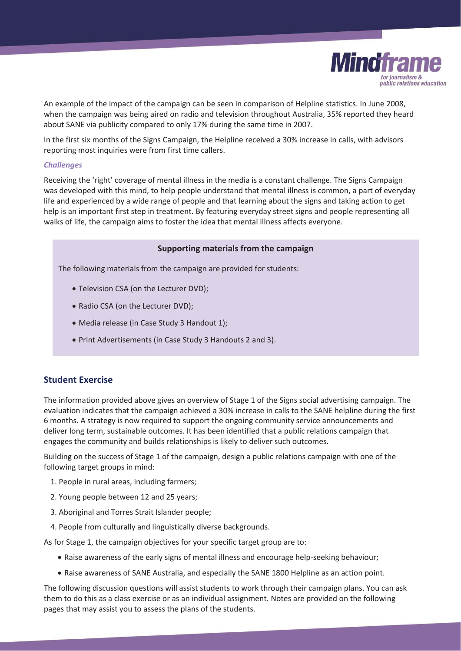

An example of the impact of the campaign can be seen in comparison of Helpline statistics. In June 2008, when the campaign was being aired on radio and television throughout Australia, 35% reported they heard about SANE via publicity compared to only 17% during the same time in 2007.

In the first six months of the Signs Campaign, the Helpline received a 30% increase in calls, with advisors reporting most inquiries were from first time callers.

## *Challenges*

Receiving the 'right' coverage of mental illness in the media is a constant challenge. The Signs Campaign was developed with this mind, to help people understand that mental illness is common, a part of everyday life and experienced by a wide range of people and that learning about the signs and taking action to get help is an important first step in treatment. By featuring everyday street signs and people representing all walks of life, the campaign aims to foster the idea that mental illness affects everyone.

# **Supporting materials from the campaign**

The following materials from the campaign are provided for students:

- Television CSA (on the Lecturer DVD);
- Radio CSA (on the Lecturer DVD);
- Media release (in Case Study 3 Handout 1);
- Print Advertisements (in Case Study 3 Handouts 2 and 3).

# **Student Exercise**

The information provided above gives an overview of Stage 1 of the Signs social advertising campaign. The evaluation indicates that the campaign achieved a 30% increase in calls to the SANE helpline during the first 6 months. A strategy is now required to support the ongoing community service announcements and deliver long term, sustainable outcomes. It has been identified that a public relations campaign that engages the community and builds relationships is likely to deliver such outcomes.

Building on the success of Stage 1 of the campaign, design a public relations campaign with one of the following target groups in mind:

- 1. People in rural areas, including farmers;
- 2. Young people between 12 and 25 years;
- 3. Aboriginal and Torres Strait Islander people;
- 4. People from culturally and linguistically diverse backgrounds.

As for Stage 1, the campaign objectives for your specific target group are to:

- Raise awareness of the early signs of mental illness and encourage help-seeking behaviour;
- Raise awareness of SANE Australia, and especially the SANE 1800 Helpline as an action point.

The following discussion questions will assist students to work through their campaign plans. You can ask them to do this as a class exercise or as an individual assignment. Notes are provided on the following pages that may assist you to assess the plans of the students.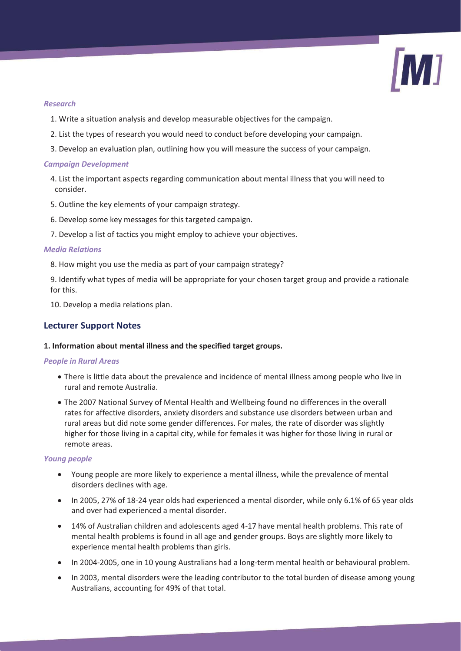

# *Research*

- 1. Write a situation analysis and develop measurable objectives for the campaign.
- 2. List the types of research you would need to conduct before developing your campaign.
- 3. Develop an evaluation plan, outlining how you will measure the success of your campaign.

## *Campaign Development*

- 4. List the important aspects regarding communication about mental illness that you will need to consider.
- 5. Outline the key elements of your campaign strategy.
- 6. Develop some key messages for this targeted campaign.
- 7. Develop a list of tactics you might employ to achieve your objectives.

## *Media Relations*

- 8. How might you use the media as part of your campaign strategy?
- 9. Identify what types of media will be appropriate for your chosen target group and provide a rationale for this.
- 10. Develop a media relations plan.

# **Lecturer Support Notes**

## **1. Information about mental illness and the specified target groups.**

## *People in Rural Areas*

- There is little data about the prevalence and incidence of mental illness among people who live in rural and remote Australia.
- The 2007 National Survey of Mental Health and Wellbeing found no differences in the overall rates for affective disorders, anxiety disorders and substance use disorders between urban and rural areas but did note some gender differences. For males, the rate of disorder was slightly higher for those living in a capital city, while for females it was higher for those living in rural or remote areas.

## *Young people*

- Young people are more likely to experience a mental illness, while the prevalence of mental disorders declines with age.
- In 2005, 27% of 18-24 year olds had experienced a mental disorder, while only 6.1% of 65 year olds and over had experienced a mental disorder.
- 14% of Australian children and adolescents aged 4-17 have mental health problems. This rate of mental health problems is found in all age and gender groups. Boys are slightly more likely to experience mental health problems than girls.
- In 2004-2005, one in 10 young Australians had a long-term mental health or behavioural problem.
- In 2003, mental disorders were the leading contributor to the total burden of disease among young Australians, accounting for 49% of that total.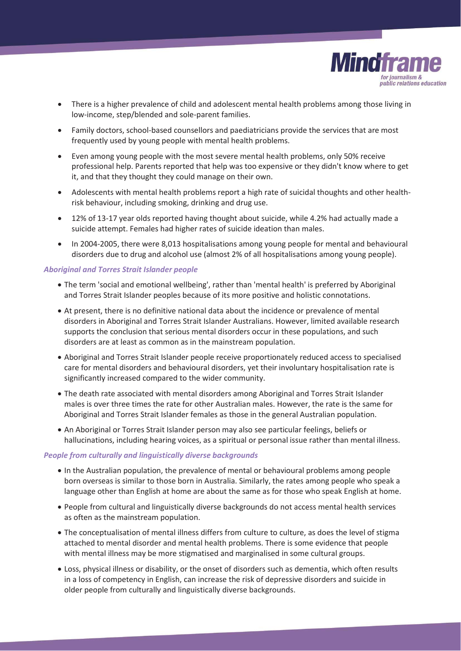

- There is a higher prevalence of child and adolescent mental health problems among those living in low-income, step/blended and sole-parent families.
- Family doctors, school-based counsellors and paediatricians provide the services that are most frequently used by young people with mental health problems.
- Even among young people with the most severe mental health problems, only 50% receive professional help. Parents reported that help was too expensive or they didn't know where to get it, and that they thought they could manage on their own.
- Adolescents with mental health problems report a high rate of suicidal thoughts and other healthrisk behaviour, including smoking, drinking and drug use.
- 12% of 13-17 year olds reported having thought about suicide, while 4.2% had actually made a suicide attempt. Females had higher rates of suicide ideation than males.
- In 2004-2005, there were 8,013 hospitalisations among young people for mental and behavioural disorders due to drug and alcohol use (almost 2% of all hospitalisations among young people).

## *Aboriginal and Torres Strait Islander people*

- The term 'social and emotional wellbeing', rather than 'mental health' is preferred by Aboriginal and Torres Strait Islander peoples because of its more positive and holistic connotations.
- At present, there is no definitive national data about the incidence or prevalence of mental disorders in Aboriginal and Torres Strait Islander Australians. However, limited available research supports the conclusion that serious mental disorders occur in these populations, and such disorders are at least as common as in the mainstream population.
- Aboriginal and Torres Strait Islander people receive proportionately reduced access to specialised care for mental disorders and behavioural disorders, yet their involuntary hospitalisation rate is significantly increased compared to the wider community.
- The death rate associated with mental disorders among Aboriginal and Torres Strait Islander males is over three times the rate for other Australian males. However, the rate is the same for Aboriginal and Torres Strait Islander females as those in the general Australian population.
- An Aboriginal or Torres Strait Islander person may also see particular feelings, beliefs or hallucinations, including hearing voices, as a spiritual or personal issue rather than mental illness.

## *People from culturally and linguistically diverse backgrounds*

- In the Australian population, the prevalence of mental or behavioural problems among people born overseas is similar to those born in Australia. Similarly, the rates among people who speak a language other than English at home are about the same as for those who speak English at home.
- x People from cultural and linguistically diverse backgrounds do not access mental health services as often as the mainstream population.
- The conceptualisation of mental illness differs from culture to culture, as does the level of stigma attached to mental disorder and mental health problems. There is some evidence that people with mental illness may be more stigmatised and marginalised in some cultural groups.
- Loss, physical illness or disability, or the onset of disorders such as dementia, which often results in a loss of competency in English, can increase the risk of depressive disorders and suicide in older people from culturally and linguistically diverse backgrounds.